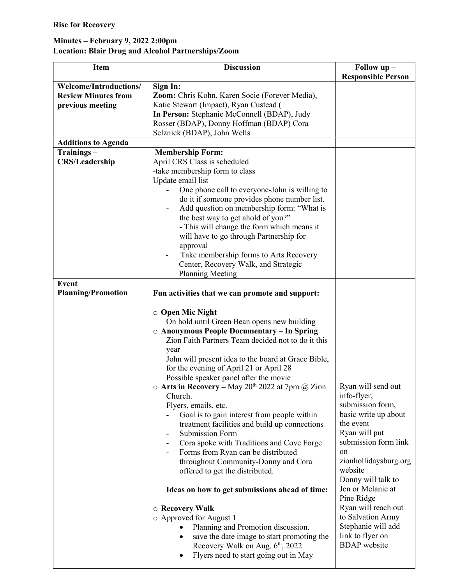## Minutes – February 9, 2022 2:00pm Location: Blair Drug and Alcohol Partnerships/Zoom

| <b>Item</b>                   | <b>Discussion</b>                                                     | Follow up -               |
|-------------------------------|-----------------------------------------------------------------------|---------------------------|
|                               |                                                                       | <b>Responsible Person</b> |
| <b>Welcome/Introductions/</b> | Sign In:                                                              |                           |
| <b>Review Minutes from</b>    | Zoom: Chris Kohn, Karen Socie (Forever Media),                        |                           |
| previous meeting              | Katie Stewart (Impact), Ryan Custead (                                |                           |
|                               | In Person: Stephanie McConnell (BDAP), Judy                           |                           |
|                               | Rosser (BDAP), Donny Hoffman (BDAP) Cora                              |                           |
|                               | Selznick (BDAP), John Wells                                           |                           |
| <b>Additions to Agenda</b>    |                                                                       |                           |
| Trainings-                    | <b>Membership Form:</b>                                               |                           |
| <b>CRS/Leadership</b>         | April CRS Class is scheduled                                          |                           |
|                               | -take membership form to class                                        |                           |
|                               | Update email list                                                     |                           |
|                               | One phone call to everyone-John is willing to                         |                           |
|                               | do it if someone provides phone number list.                          |                           |
|                               |                                                                       |                           |
|                               | Add question on membership form: "What is                             |                           |
|                               | the best way to get ahold of you?"                                    |                           |
|                               | - This will change the form which means it                            |                           |
|                               | will have to go through Partnership for                               |                           |
|                               | approval                                                              |                           |
|                               | Take membership forms to Arts Recovery                                |                           |
|                               | Center, Recovery Walk, and Strategic                                  |                           |
|                               | <b>Planning Meeting</b>                                               |                           |
| <b>Event</b>                  |                                                                       |                           |
| <b>Planning/Promotion</b>     | Fun activities that we can promote and support:                       |                           |
|                               |                                                                       |                           |
|                               | $\circ$ Open Mic Night                                                |                           |
|                               | On hold until Green Bean opens new building                           |                           |
|                               | ○ Anonymous People Documentary - In Spring                            |                           |
|                               | Zion Faith Partners Team decided not to do it this                    |                           |
|                               | year                                                                  |                           |
|                               | John will present idea to the board at Grace Bible,                   |                           |
|                               | for the evening of April 21 or April 28                               |                           |
|                               |                                                                       |                           |
|                               | Possible speaker panel after the movie                                |                           |
|                               | $\circ$ Arts in Recovery – May 20 <sup>th</sup> 2022 at 7pm @ Zion    | Ryan will send out        |
|                               | Church.                                                               | info-flyer,               |
|                               | Flyers, emails, etc.                                                  | submission form,          |
|                               | Goal is to gain interest from people within                           | basic write up about      |
|                               | treatment facilities and build up connections                         | the event                 |
|                               | Submission Form<br>$\overline{\phantom{a}}$                           | Ryan will put             |
|                               | Cora spoke with Traditions and Cove Forge<br>$\overline{\phantom{a}}$ | submission form link      |
|                               | Forms from Ryan can be distributed                                    | on                        |
|                               | throughout Community-Donny and Cora                                   | zionhollidaysburg.org     |
|                               | offered to get the distributed.                                       | website                   |
|                               |                                                                       | Donny will talk to        |
|                               | Ideas on how to get submissions ahead of time:                        | Jen or Melanie at         |
|                               |                                                                       | Pine Ridge                |
|                               | ○ Recovery Walk                                                       | Ryan will reach out       |
|                               | o Approved for August 1                                               | to Salvation Army         |
|                               | Planning and Promotion discussion.                                    | Stephanie will add        |
|                               | save the date image to start promoting the<br>$\bullet$               | link to flyer on          |
|                               | Recovery Walk on Aug. 6 <sup>th</sup> , 2022                          | <b>BDAP</b> website       |
|                               | Flyers need to start going out in May<br>$\bullet$                    |                           |
|                               |                                                                       |                           |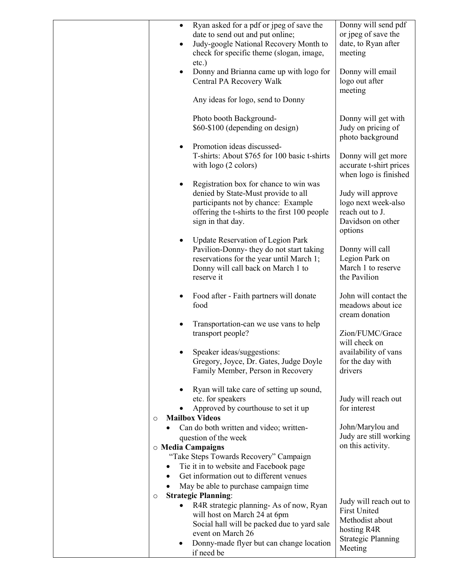| $\bullet$              | Ryan asked for a pdf or jpeg of save the<br>date to send out and put online;<br>Judy-google National Recovery Month to<br>check for specific theme (slogan, image,                                   | Donny will send pdf<br>or jpeg of save the<br>date, to Ryan after<br>meeting                                            |
|------------------------|------------------------------------------------------------------------------------------------------------------------------------------------------------------------------------------------------|-------------------------------------------------------------------------------------------------------------------------|
|                        | $etc.$ )<br>Donny and Brianna came up with logo for<br>Central PA Recovery Walk                                                                                                                      | Donny will email<br>logo out after<br>meeting                                                                           |
|                        | Any ideas for logo, send to Donny                                                                                                                                                                    |                                                                                                                         |
|                        | Photo booth Background-<br>\$60-\$100 (depending on design)                                                                                                                                          | Donny will get with<br>Judy on pricing of<br>photo background                                                           |
|                        | Promotion ideas discussed-<br>T-shirts: About \$765 for 100 basic t-shirts<br>with logo (2 colors)                                                                                                   | Donny will get more<br>accurate t-shirt prices<br>when logo is finished                                                 |
|                        | Registration box for chance to win was<br>denied by State-Must provide to all<br>participants not by chance: Example<br>offering the t-shirts to the first 100 people<br>sign in that day.           | Judy will approve<br>logo next week-also<br>reach out to J.<br>Davidson on other<br>options                             |
|                        | Update Reservation of Legion Park<br>Pavilion-Donny- they do not start taking<br>reservations for the year until March 1;<br>Donny will call back on March 1 to<br>reserve it                        | Donny will call<br>Legion Park on<br>March 1 to reserve<br>the Pavilion                                                 |
|                        | Food after - Faith partners will donate<br>food                                                                                                                                                      | John will contact the<br>meadows about ice<br>cream donation                                                            |
|                        | Transportation-can we use vans to help<br>transport people?                                                                                                                                          | Zion/FUMC/Grace<br>will check on                                                                                        |
|                        | Speaker ideas/suggestions:<br>Gregory, Joyce, Dr. Gates, Judge Doyle<br>Family Member, Person in Recovery                                                                                            | availability of vans<br>for the day with<br>drivers                                                                     |
| $\circ$                | Ryan will take care of setting up sound,<br>etc. for speakers<br>Approved by courthouse to set it up<br><b>Mailbox Videos</b>                                                                        | Judy will reach out<br>for interest                                                                                     |
| ٠<br>o Media Campaigns | Can do both written and video; written-<br>question of the week                                                                                                                                      | John/Marylou and<br>Judy are still working<br>on this activity.                                                         |
| $\bullet$              | "Take Steps Towards Recovery" Campaign<br>Tie it in to website and Facebook page<br>Get information out to different venues                                                                          |                                                                                                                         |
|                        | May be able to purchase campaign time<br><b>Strategic Planning:</b>                                                                                                                                  |                                                                                                                         |
| $\circ$                | R4R strategic planning-As of now, Ryan<br>will host on March 24 at 6pm<br>Social hall will be packed due to yard sale<br>event on March 26<br>Donny-made flyer but can change location<br>if need be | Judy will reach out to<br><b>First United</b><br>Methodist about<br>hosting R4R<br><b>Strategic Planning</b><br>Meeting |